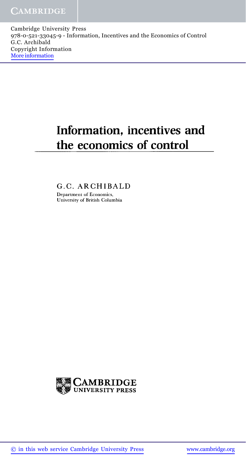Cambridge University Press 978-0-521-33045-9 - Information, Incentives and the Economics of Control G.C. Archibald Copyright Information More information

## **Information, incentives and the economics of control**

G.C. ARCHIBALD Department of Economics, University of British Columbia